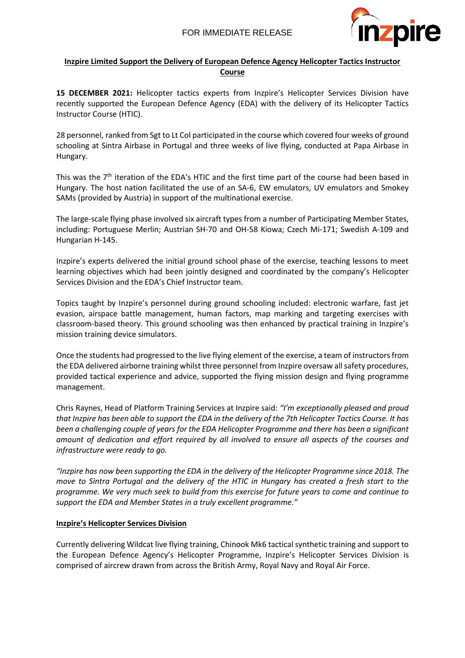

### **Inzpire Limited Support the Delivery of European Defence Agency Helicopter Tactics Instructor Course**

**15 DECEMBER 2021:** Helicopter tactics experts from Inzpire's Helicopter Services Division have recently supported the European Defence Agency (EDA) with the delivery of its Helicopter Tactics Instructor Course (HTIC).

28 personnel, ranked from Sgt to Lt Col participated in the course which covered four weeks of ground schooling at Sintra Airbase in Portugal and three weeks of live flying, conducted at Papa Airbase in Hungary.

This was the  $7<sup>th</sup>$  iteration of the EDA's HTIC and the first time part of the course had been based in Hungary. The host nation facilitated the use of an SA-6, EW emulators, UV emulators and Smokey SAMs (provided by Austria) in support of the multinational exercise.

The large-scale flying phase involved six aircraft types from a number of Participating Member States, including: Portuguese Merlin; Austrian SH-70 and OH-58 Kiowa; Czech Mi-171; Swedish A-109 and Hungarian H-145.

Inzpire's experts delivered the initial ground school phase of the exercise, teaching lessons to meet learning objectives which had been jointly designed and coordinated by the company's Helicopter Services Division and the EDA's Chief Instructor team.

Topics taught by Inzpire's personnel during ground schooling included: electronic warfare, fast jet evasion, airspace battle management, human factors, map marking and targeting exercises with classroom-based theory. This ground schooling was then enhanced by practical training in Inzpire's mission training device simulators.

Once the students had progressed to the live flying element of the exercise, a team of instructors from the EDA delivered airborne training whilst three personnel from Inzpire oversaw all safety procedures, provided tactical experience and advice, supported the flying mission design and flying programme management.

Chris Raynes, Head of Platform Training Services at Inzpire said: *"I'm exceptionally pleased and proud that Inzpire has been able to support the EDA in the delivery of the 7th Helicopter Tactics Course. It has been a challenging couple of years for the EDA Helicopter Programme and there has been a significant amount of dedication and effort required by all involved to ensure all aspects of the courses and infrastructure were ready to go.* 

*"Inzpire has now been supporting the EDA in the delivery of the Helicopter Programme since 2018. The move to Sintra Portugal and the delivery of the HTIC in Hungary has created a fresh start to the programme. We very much seek to build from this exercise for future years to come and continue to support the EDA and Member States in a truly excellent programme."*

#### **Inzpire's Helicopter Services Division**

Currently delivering Wildcat live flying training, Chinook Mk6 tactical synthetic training and support to the European Defence Agency's Helicopter Programme, Inzpire's Helicopter Services Division is comprised of aircrew drawn from across the British Army, Royal Navy and Royal Air Force.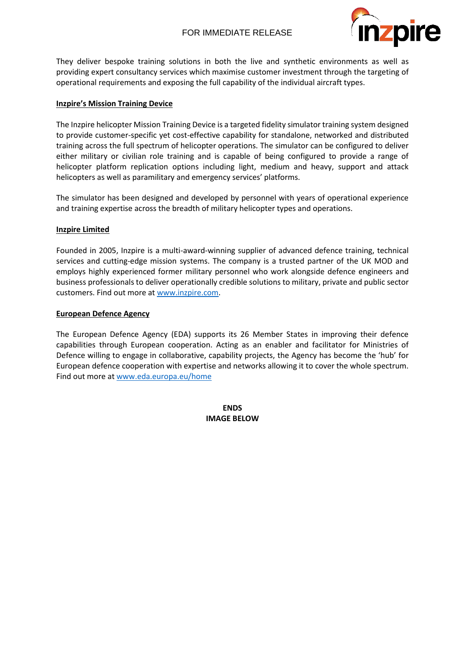## FOR IMMEDIATE RELEASE



They deliver bespoke training solutions in both the live and synthetic environments as well as providing expert consultancy services which maximise customer investment through the targeting of operational requirements and exposing the full capability of the individual aircraft types.

#### **Inzpire's Mission Training Device**

The Inzpire helicopter Mission Training Device is a targeted fidelity simulator training system designed to provide customer-specific yet cost-effective capability for standalone, networked and distributed training across the full spectrum of helicopter operations. The simulator can be configured to deliver either military or civilian role training and is capable of being configured to provide a range of helicopter platform replication options including light, medium and heavy, support and attack helicopters as well as paramilitary and emergency services' platforms.

The simulator has been designed and developed by personnel with years of operational experience and training expertise across the breadth of military helicopter types and operations.

### **Inzpire Limited**

Founded in 2005, Inzpire is a multi-award-winning supplier of advanced defence training, technical services and cutting-edge mission systems. The company is a trusted partner of the UK MOD and employs highly experienced former military personnel who work alongside defence engineers and business professionals to deliver operationally credible solutions to military, private and public sector customers. Find out more at [www.inzpire.com.](http://www.inzpire.com/)

### **European Defence Agency**

The European Defence Agency (EDA) supports its 26 Member States in improving their defence capabilities through European cooperation. Acting as an enabler and facilitator for Ministries of Defence willing to engage in collaborative, capability projects, the Agency has become the 'hub' for European defence cooperation with expertise and networks allowing it to cover the whole spectrum. Find out more at [www.eda.europa.eu/home](http://www.eda.europa.eu/home)

> **ENDS IMAGE BELOW**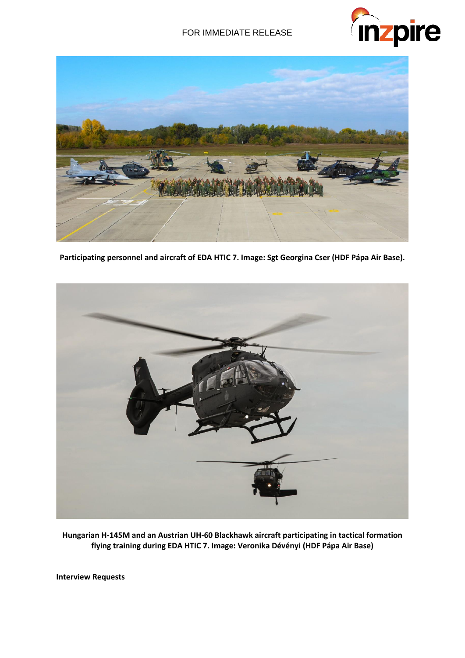# FOR IMMEDIATE RELEASE





**Participating personnel and aircraft of EDA HTIC 7. Image: Sgt Georgina Cser (HDF Pápa Air Base).**



**Hungarian H-145M and an Austrian UH-60 Blackhawk aircraft participating in tactical formation flying training during EDA HTIC 7. Image: Veronika Dévényi (HDF Pápa Air Base)**

**Interview Requests**